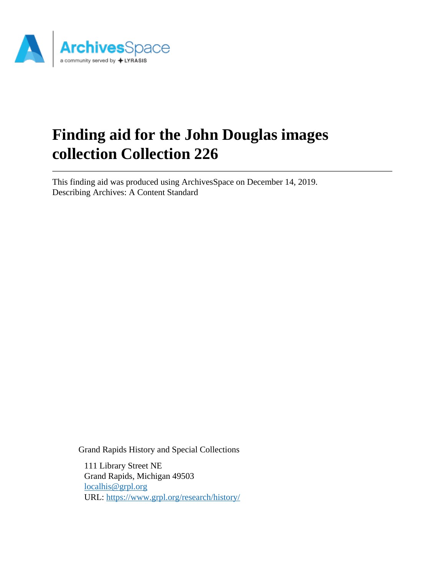

# **Finding aid for the John Douglas images collection Collection 226**

This finding aid was produced using ArchivesSpace on December 14, 2019. Describing Archives: A Content Standard

Grand Rapids History and Special Collections

111 Library Street NE Grand Rapids, Michigan 49503 [localhis@grpl.org](mailto:localhis@grpl.org) URL:<https://www.grpl.org/research/history/>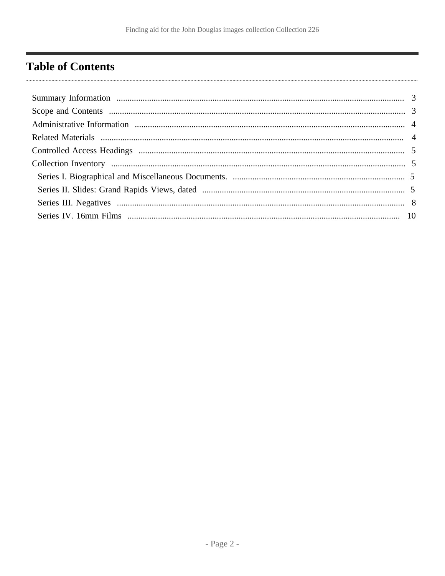# <span id="page-1-0"></span>**Table of Contents**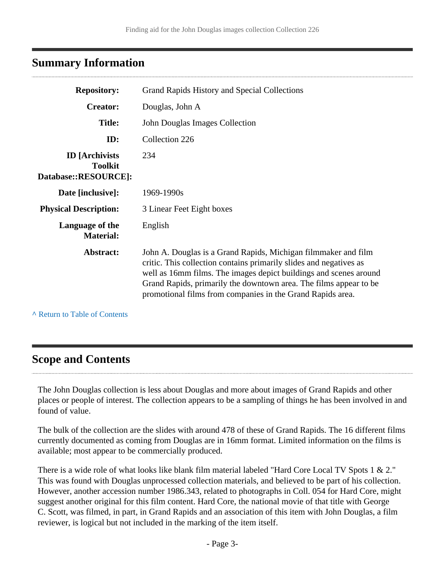# <span id="page-2-0"></span>**Summary Information**

| <b>Repository:</b>                                               | Grand Rapids History and Special Collections                                                                                                                                                                                                                                                                                                 |  |
|------------------------------------------------------------------|----------------------------------------------------------------------------------------------------------------------------------------------------------------------------------------------------------------------------------------------------------------------------------------------------------------------------------------------|--|
| <b>Creator:</b>                                                  | Douglas, John A                                                                                                                                                                                                                                                                                                                              |  |
| <b>Title:</b>                                                    | John Douglas Images Collection                                                                                                                                                                                                                                                                                                               |  |
| ID:                                                              | Collection 226                                                                                                                                                                                                                                                                                                                               |  |
| <b>ID</b> [Archivists]<br><b>Toolkit</b><br>Database::RESOURCE]: | 234                                                                                                                                                                                                                                                                                                                                          |  |
| Date [inclusive]:                                                | 1969-1990s                                                                                                                                                                                                                                                                                                                                   |  |
| <b>Physical Description:</b>                                     | 3 Linear Feet Eight boxes                                                                                                                                                                                                                                                                                                                    |  |
| Language of the<br><b>Material:</b>                              | English                                                                                                                                                                                                                                                                                                                                      |  |
| Abstract:                                                        | John A. Douglas is a Grand Rapids, Michigan filmmaker and film<br>critic. This collection contains primarily slides and negatives as<br>well as 16mm films. The images depict buildings and scenes around<br>Grand Rapids, primarily the downtown area. The films appear to be<br>promotional films from companies in the Grand Rapids area. |  |

**^** [Return to Table of Contents](#page-1-0)

### <span id="page-2-1"></span>**Scope and Contents**

The John Douglas collection is less about Douglas and more about images of Grand Rapids and other places or people of interest. The collection appears to be a sampling of things he has been involved in and found of value.

The bulk of the collection are the slides with around 478 of these of Grand Rapids. The 16 different films currently documented as coming from Douglas are in 16mm format. Limited information on the films is available; most appear to be commercially produced.

There is a wide role of what looks like blank film material labeled "Hard Core Local TV Spots 1 & 2." This was found with Douglas unprocessed collection materials, and believed to be part of his collection. However, another accession number 1986.343, related to photographs in Coll. 054 for Hard Core, might suggest another original for this film content. Hard Core, the national movie of that title with George C. Scott, was filmed, in part, in Grand Rapids and an association of this item with John Douglas, a film reviewer, is logical but not included in the marking of the item itself.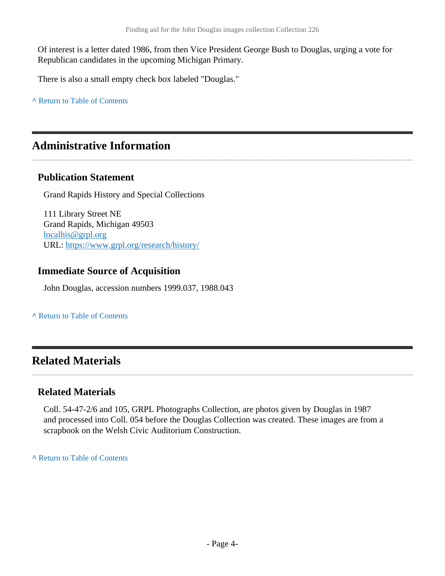Of interest is a letter dated 1986, from then Vice President George Bush to Douglas, urging a vote for Republican candidates in the upcoming Michigan Primary.

There is also a small empty check box labeled "Douglas."

**^** [Return to Table of Contents](#page-1-0)

### <span id="page-3-0"></span>**Administrative Information**

#### **Publication Statement**

Grand Rapids History and Special Collections

111 Library Street NE Grand Rapids, Michigan 49503 [localhis@grpl.org](mailto:localhis@grpl.org) URL:<https://www.grpl.org/research/history/>

#### **Immediate Source of Acquisition**

John Douglas, accession numbers 1999.037, 1988.043

#### **^** [Return to Table of Contents](#page-1-0)

### <span id="page-3-1"></span>**Related Materials**

#### **Related Materials**

Coll. 54-47-2/6 and 105, GRPL Photographs Collection, are photos given by Douglas in 1987 and processed into Coll. 054 before the Douglas Collection was created. These images are from a scrapbook on the Welsh Civic Auditorium Construction.

**^** [Return to Table of Contents](#page-1-0)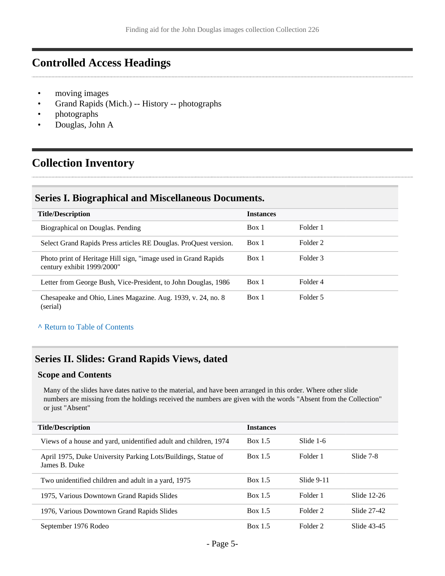### <span id="page-4-0"></span>**Controlled Access Headings**

- moving images
- Grand Rapids (Mich.) -- History -- photographs
- photographs
- Douglas, John A

### <span id="page-4-1"></span>**Collection Inventory**

#### <span id="page-4-2"></span>**Series I. Biographical and Miscellaneous Documents.**

| <b>Title/Description</b>                                                                      | <b>Instances</b> |          |
|-----------------------------------------------------------------------------------------------|------------------|----------|
| Biographical on Douglas. Pending                                                              | Box 1            | Folder 1 |
| Select Grand Rapids Press articles RE Douglas. ProQuest version.                              | Box 1            | Folder 2 |
| Photo print of Heritage Hill sign, "image used in Grand Rapids"<br>century exhibit 1999/2000" | Box 1            | Folder 3 |
| Letter from George Bush, Vice-President, to John Douglas, 1986                                | Box 1            | Folder 4 |
| Chesapeake and Ohio, Lines Magazine. Aug. 1939, v. 24, no. 8<br>(serial)                      | Box 1            | Folder 5 |

**^** [Return to Table of Contents](#page-1-0)

#### <span id="page-4-3"></span>**Series II. Slides: Grand Rapids Views, dated**

#### **Scope and Contents**

Many of the slides have dates native to the material, and have been arranged in this order. Where other slide numbers are missing from the holdings received the numbers are given with the words "Absent from the Collection" or just "Absent"

| <b>Title/Description</b>                                                       | <b>Instances</b> |              |             |
|--------------------------------------------------------------------------------|------------------|--------------|-------------|
| Views of a house and yard, unidentified adult and children, 1974               | Box 1.5          | Slide 1-6    |             |
| April 1975, Duke University Parking Lots/Buildings, Statue of<br>James B. Duke | Box 1.5          | Folder 1     | Slide 7-8   |
| Two unidentified children and adult in a yard, 1975                            | Box 1.5          | Slide $9-11$ |             |
| 1975, Various Downtown Grand Rapids Slides                                     | Box 1.5          | Folder 1     | Slide 12-26 |
| 1976, Various Downtown Grand Rapids Slides                                     | Box 1.5          | Folder 2     | Slide 27-42 |
| September 1976 Rodeo                                                           | Box 1.5          | Folder 2     | Slide 43-45 |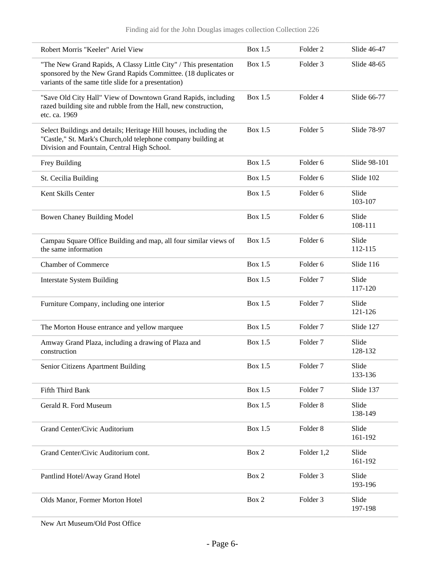| Robert Morris "Keeler" Ariel View                                                                                                                                                          | Box 1.5   | Folder <sub>2</sub> | Slide 46-47      |
|--------------------------------------------------------------------------------------------------------------------------------------------------------------------------------------------|-----------|---------------------|------------------|
| "The New Grand Rapids, A Classy Little City" / This presentation<br>sponsored by the New Grand Rapids Committee. (18 duplicates or<br>variants of the same title slide for a presentation) | Box 1.5   | Folder 3            | Slide 48-65      |
| "Save Old City Hall" View of Downtown Grand Rapids, including<br>razed building site and rubble from the Hall, new construction,<br>etc. ca. 1969                                          | Box $1.5$ | Folder 4            | Slide 66-77      |
| Select Buildings and details; Heritage Hill houses, including the<br>"Castle," St. Mark's Church, old telephone company building at<br>Division and Fountain, Central High School.         | Box 1.5   | Folder 5            | Slide 78-97      |
| Frey Building                                                                                                                                                                              | Box 1.5   | Folder <sub>6</sub> | Slide 98-101     |
| St. Cecilia Building                                                                                                                                                                       | Box 1.5   | Folder <sub>6</sub> | Slide 102        |
| Kent Skills Center                                                                                                                                                                         | Box 1.5   | Folder <sub>6</sub> | Slide<br>103-107 |
| Bowen Chaney Building Model                                                                                                                                                                | Box 1.5   | Folder <sub>6</sub> | Slide<br>108-111 |
| Campau Square Office Building and map, all four similar views of<br>the same information                                                                                                   | Box 1.5   | Folder 6            | Slide<br>112-115 |
| <b>Chamber of Commerce</b>                                                                                                                                                                 | Box 1.5   | Folder <sub>6</sub> | Slide 116        |
| <b>Interstate System Building</b>                                                                                                                                                          | Box 1.5   | Folder <sub>7</sub> | Slide<br>117-120 |
| Furniture Company, including one interior                                                                                                                                                  | Box 1.5   | Folder <sub>7</sub> | Slide<br>121-126 |
| The Morton House entrance and yellow marquee                                                                                                                                               | Box 1.5   | Folder <sub>7</sub> | Slide 127        |
| Amway Grand Plaza, including a drawing of Plaza and<br>construction                                                                                                                        | Box 1.5   | Folder <sub>7</sub> | Slide<br>128-132 |
| Senior Citizens Apartment Building                                                                                                                                                         | Box 1.5   | Folder 7            | Slide<br>133-136 |
| Fifth Third Bank                                                                                                                                                                           | Box 1.5   | Folder <sub>7</sub> | Slide 137        |
| Gerald R. Ford Museum                                                                                                                                                                      | Box 1.5   | Folder 8            | Slide<br>138-149 |
| Grand Center/Civic Auditorium                                                                                                                                                              | Box 1.5   | Folder 8            | Slide<br>161-192 |
| Grand Center/Civic Auditorium cont.                                                                                                                                                        | Box 2     | Folder 1,2          | Slide<br>161-192 |
| Pantlind Hotel/Away Grand Hotel                                                                                                                                                            | Box 2     | Folder 3            | Slide<br>193-196 |
| Olds Manor, Former Morton Hotel                                                                                                                                                            | Box 2     | Folder 3            | Slide<br>197-198 |

New Art Museum/Old Post Office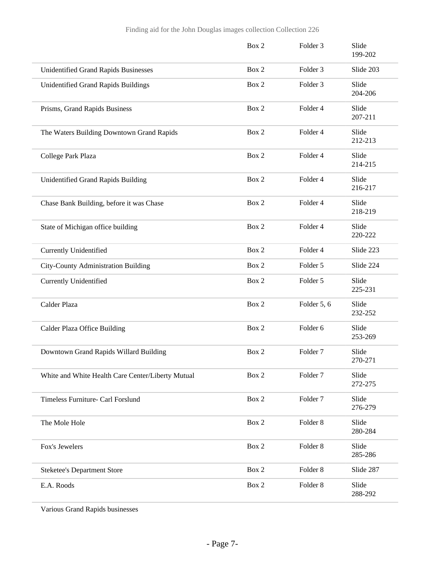|                                                   | Box 2 | Folder 3            | Slide<br>199-202 |
|---------------------------------------------------|-------|---------------------|------------------|
| <b>Unidentified Grand Rapids Businesses</b>       | Box 2 | Folder 3            | Slide 203        |
| Unidentified Grand Rapids Buildings               | Box 2 | Folder 3            | Slide<br>204-206 |
| Prisms, Grand Rapids Business                     | Box 2 | Folder 4            | Slide<br>207-211 |
| The Waters Building Downtown Grand Rapids         | Box 2 | Folder 4            | Slide<br>212-213 |
| College Park Plaza                                | Box 2 | Folder 4            | Slide<br>214-215 |
| Unidentified Grand Rapids Building                | Box 2 | Folder 4            | Slide<br>216-217 |
| Chase Bank Building, before it was Chase          | Box 2 | Folder 4            | Slide<br>218-219 |
| State of Michigan office building                 | Box 2 | Folder 4            | Slide<br>220-222 |
| <b>Currently Unidentified</b>                     | Box 2 | Folder 4            | Slide 223        |
| City-County Administration Building               | Box 2 | Folder 5            | Slide 224        |
| <b>Currently Unidentified</b>                     | Box 2 | Folder 5            | Slide<br>225-231 |
| Calder Plaza                                      | Box 2 | Folder 5, 6         | Slide<br>232-252 |
| Calder Plaza Office Building                      | Box 2 | Folder 6            | Slide<br>253-269 |
| Downtown Grand Rapids Willard Building            | Box 2 | Folder <sub>7</sub> | Slide<br>270-271 |
| White and White Health Care Center/Liberty Mutual | Box 2 | Folder <sub>7</sub> | Slide<br>272-275 |
| Timeless Furniture- Carl Forslund                 | Box 2 | Folder <sub>7</sub> | Slide<br>276-279 |
| The Mole Hole                                     | Box 2 | Folder <sub>8</sub> | Slide<br>280-284 |
| Fox's Jewelers                                    | Box 2 | Folder <sub>8</sub> | Slide<br>285-286 |
| <b>Steketee's Department Store</b>                | Box 2 | Folder 8            | Slide 287        |
| E.A. Roods                                        | Box 2 | Folder 8            | Slide<br>288-292 |

Various Grand Rapids businesses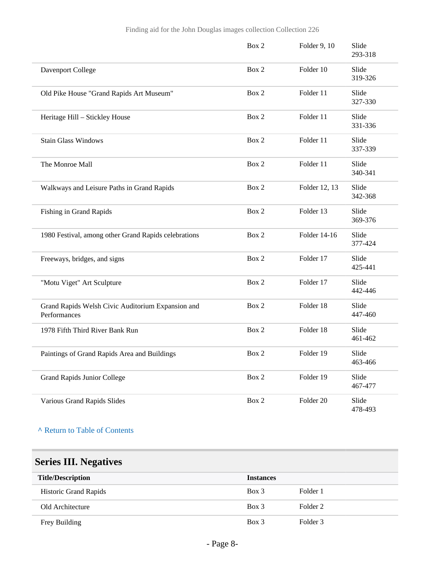|                                                                   | Box 2 | Folder 9, 10  | Slide<br>293-318 |  |
|-------------------------------------------------------------------|-------|---------------|------------------|--|
| Davenport College                                                 | Box 2 | Folder 10     | Slide<br>319-326 |  |
| Old Pike House "Grand Rapids Art Museum"                          | Box 2 | Folder 11     | Slide<br>327-330 |  |
| Heritage Hill - Stickley House                                    | Box 2 | Folder 11     | Slide<br>331-336 |  |
| <b>Stain Glass Windows</b>                                        | Box 2 | Folder 11     | Slide<br>337-339 |  |
| The Monroe Mall                                                   | Box 2 | Folder 11     | Slide<br>340-341 |  |
| Walkways and Leisure Paths in Grand Rapids                        | Box 2 | Folder 12, 13 | Slide<br>342-368 |  |
| Fishing in Grand Rapids                                           | Box 2 | Folder 13     | Slide<br>369-376 |  |
| 1980 Festival, among other Grand Rapids celebrations              | Box 2 | Folder 14-16  | Slide<br>377-424 |  |
| Freeways, bridges, and signs                                      | Box 2 | Folder 17     | Slide<br>425-441 |  |
| "Motu Viget" Art Sculpture                                        | Box 2 | Folder 17     | Slide<br>442-446 |  |
| Grand Rapids Welsh Civic Auditorium Expansion and<br>Performances | Box 2 | Folder 18     | Slide<br>447-460 |  |
| 1978 Fifth Third River Bank Run                                   | Box 2 | Folder 18     | Slide<br>461-462 |  |
| Paintings of Grand Rapids Area and Buildings                      | Box 2 | Folder 19     | Slide<br>463-466 |  |
| <b>Grand Rapids Junior College</b>                                | Box 2 | Folder 19     | Slide<br>467-477 |  |
| Various Grand Rapids Slides                                       | Box 2 | Folder 20     | Slide<br>478-493 |  |

#### **^** [Return to Table of Contents](#page-1-0)

# <span id="page-7-0"></span>**Series III. Negatives**

| <b>Title/Description</b>     | <b>Instances</b> |          |
|------------------------------|------------------|----------|
| <b>Historic Grand Rapids</b> | $Box$ 3          | Folder 1 |
| Old Architecture             | $Box$ 3          | Folder 2 |
| Frey Building                | $Box$ 3          | Folder 3 |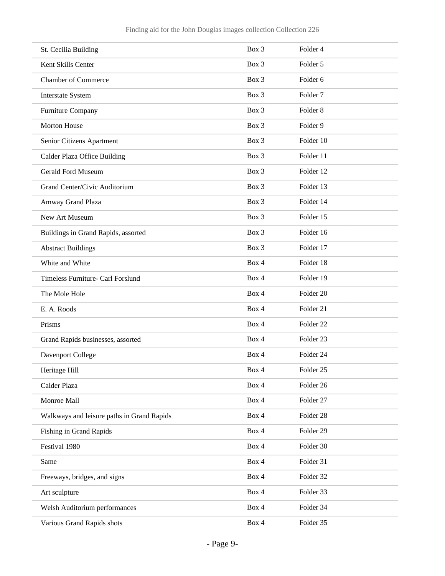| St. Cecilia Building                       | Box 3 | Folder 4             |
|--------------------------------------------|-------|----------------------|
| Kent Skills Center                         | Box 3 | Folder 5             |
| <b>Chamber of Commerce</b>                 | Box 3 | Folder 6             |
| Interstate System                          | Box 3 | Folder <sub>7</sub>  |
| Furniture Company                          | Box 3 | Folder <sub>8</sub>  |
| Morton House                               | Box 3 | Folder 9             |
| Senior Citizens Apartment                  | Box 3 | Folder 10            |
| Calder Plaza Office Building               | Box 3 | Folder 11            |
| <b>Gerald Ford Museum</b>                  | Box 3 | Folder 12            |
| Grand Center/Civic Auditorium              | Box 3 | Folder 13            |
| Amway Grand Plaza                          | Box 3 | Folder 14            |
| New Art Museum                             | Box 3 | Folder 15            |
| Buildings in Grand Rapids, assorted        | Box 3 | Folder 16            |
| <b>Abstract Buildings</b>                  | Box 3 | Folder 17            |
| White and White                            | Box 4 | Folder 18            |
| Timeless Furniture- Carl Forslund          | Box 4 | Folder 19            |
| The Mole Hole                              | Box 4 | Folder 20            |
| E. A. Roods                                | Box 4 | Folder 21            |
| Prisms                                     | Box 4 | Folder <sub>22</sub> |
| Grand Rapids businesses, assorted          | Box 4 | Folder <sub>23</sub> |
| Davenport College                          | Box 4 | Folder 24            |
| Heritage Hill                              | Box 4 | Folder 25            |
| Calder Plaza                               | Box 4 | Folder 26            |
| Monroe Mall                                | Box 4 | Folder 27            |
| Walkways and leisure paths in Grand Rapids | Box 4 | Folder 28            |
| Fishing in Grand Rapids                    | Box 4 | Folder 29            |
| Festival 1980                              | Box 4 | Folder 30            |
| Same                                       | Box 4 | Folder 31            |
| Freeways, bridges, and signs               | Box 4 | Folder 32            |
| Art sculpture                              | Box 4 | Folder 33            |
| Welsh Auditorium performances              | Box 4 | Folder 34            |
| Various Grand Rapids shots                 | Box 4 | Folder 35            |